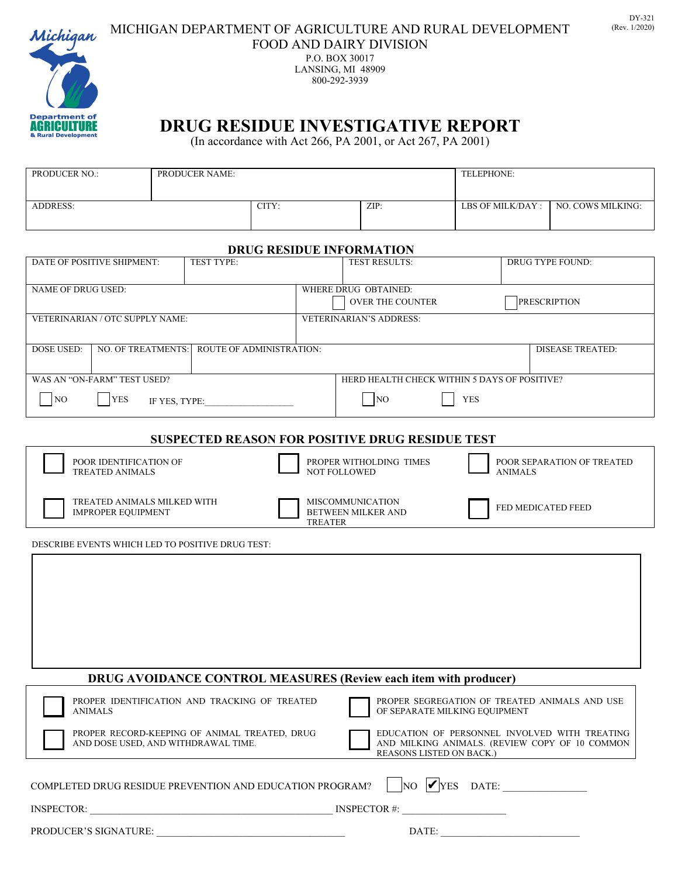

## MICHIGAN DEPARTMENT OF AGRICULTURE AND RURAL DEVELOPMENT (Rev. 1/2020) FOOD AND DAIRY DIVISION

P.O. BOX 30017 LANSING, MI 48909 800-292-3939

## **DRUG RESIDUE INVESTIGATIVE REPORT**

(In accordance with Act 266, PA 2001, or Act 267, PA 2001)

| <b>PRODUCER NO.:</b> | <b>PRODUCER NAME:</b> |       |      | TELEPHONE:          |                   |  |
|----------------------|-----------------------|-------|------|---------------------|-------------------|--|
|                      |                       |       |      |                     |                   |  |
| <b>ADDRESS:</b>      |                       | CITY: | ZIP: | LBS OF MILK/DAY : 1 | NO. COWS MILKING: |  |
|                      |                       |       |      |                     |                   |  |

## **DRUG RESIDUE INFORMATION**

| DATE OF POSITIVE SHIPMENT:                                              | TEST TYPE:                                                       |                                                                            | TEST RESULTS: |                               | <b>DRUG TYPE FOUND:</b>                        |  |  |  |  |
|-------------------------------------------------------------------------|------------------------------------------------------------------|----------------------------------------------------------------------------|---------------|-------------------------------|------------------------------------------------|--|--|--|--|
|                                                                         |                                                                  |                                                                            |               |                               |                                                |  |  |  |  |
| NAME OF DRUG USED:                                                      | WHERE DRUG OBTAINED:<br><b>OVER THE COUNTER</b>                  |                                                                            |               | <b>PRESCRIPTION</b>           |                                                |  |  |  |  |
| VETERINARIAN / OTC SUPPLY NAME:                                         | <b>VETERINARIAN'S ADDRESS:</b>                                   |                                                                            |               |                               |                                                |  |  |  |  |
|                                                                         |                                                                  |                                                                            |               |                               |                                                |  |  |  |  |
| <b>DOSE USED:</b><br>NO. OF TREATMENTS:                                 | <b>ROUTE OF ADMINISTRATION:</b>                                  |                                                                            |               | <b>DISEASE TREATED:</b>       |                                                |  |  |  |  |
|                                                                         |                                                                  |                                                                            |               |                               |                                                |  |  |  |  |
| WAS AN "ON-FARM" TEST USED?                                             |                                                                  | HERD HEALTH CHECK WITHIN 5 DAYS OF POSITIVE?                               |               |                               |                                                |  |  |  |  |
| NO<br><b>YES</b><br>IF YES, TYPE:                                       |                                                                  | NO                                                                         | <b>YES</b>    |                               |                                                |  |  |  |  |
|                                                                         |                                                                  |                                                                            |               |                               |                                                |  |  |  |  |
|                                                                         |                                                                  |                                                                            |               |                               |                                                |  |  |  |  |
| <b>SUSPECTED REASON FOR POSITIVE DRUG RESIDUE TEST</b>                  |                                                                  |                                                                            |               |                               |                                                |  |  |  |  |
| POOR IDENTIFICATION OF<br><b>TREATED ANIMALS</b>                        | PROPER WITHOLDING TIMES<br><b>NOT FOLLOWED</b><br><b>ANIMALS</b> |                                                                            |               | POOR SEPARATION OF TREATED    |                                                |  |  |  |  |
| TREATED ANIMALS MILKED WITH<br><b>IMPROPER EQUIPMENT</b>                | <b>TREATER</b>                                                   | <b>MISCOMMUNICATION</b><br>FED MEDICATED FEED<br><b>BETWEEN MILKER AND</b> |               |                               |                                                |  |  |  |  |
|                                                                         |                                                                  |                                                                            |               |                               |                                                |  |  |  |  |
| DESCRIBE EVENTS WHICH LED TO POSITIVE DRUG TEST:                        |                                                                  |                                                                            |               |                               |                                                |  |  |  |  |
|                                                                         |                                                                  |                                                                            |               |                               |                                                |  |  |  |  |
|                                                                         |                                                                  |                                                                            |               |                               |                                                |  |  |  |  |
|                                                                         |                                                                  |                                                                            |               |                               |                                                |  |  |  |  |
|                                                                         |                                                                  |                                                                            |               |                               |                                                |  |  |  |  |
|                                                                         |                                                                  |                                                                            |               |                               |                                                |  |  |  |  |
|                                                                         |                                                                  |                                                                            |               |                               |                                                |  |  |  |  |
|                                                                         |                                                                  |                                                                            |               |                               |                                                |  |  |  |  |
| <b>DRUG AVOIDANCE CONTROL MEASURES (Review each item with producer)</b> |                                                                  |                                                                            |               |                               |                                                |  |  |  |  |
| <b>ANIMALS</b>                                                          | PROPER IDENTIFICATION AND TRACKING OF TREATED                    |                                                                            |               | OF SEPARATE MILKING EQUIPMENT | PROPER SEGREGATION OF TREATED ANIMALS AND USE  |  |  |  |  |
|                                                                         | PROPER RECORD-KEEPING OF ANIMAL TREATED, DRUG                    |                                                                            |               |                               | EDUCATION OF PERSONNEL INVOLVED WITH TREATING  |  |  |  |  |
| AND DOSE USED, AND WITHDRAWAL TIME.                                     |                                                                  |                                                                            |               | REASONS LISTED ON BACK.)      | AND MILKING ANIMALS. (REVIEW COPY OF 10 COMMON |  |  |  |  |
| COMPLETED DRUG RESIDUE PREVENTION AND EDUCATION PROGRAM?                |                                                                  |                                                                            |               |                               | $\n  NO V YES DATE:$                           |  |  |  |  |
|                                                                         |                                                                  |                                                                            |               |                               |                                                |  |  |  |  |
|                                                                         |                                                                  |                                                                            |               |                               |                                                |  |  |  |  |
|                                                                         |                                                                  |                                                                            |               |                               |                                                |  |  |  |  |